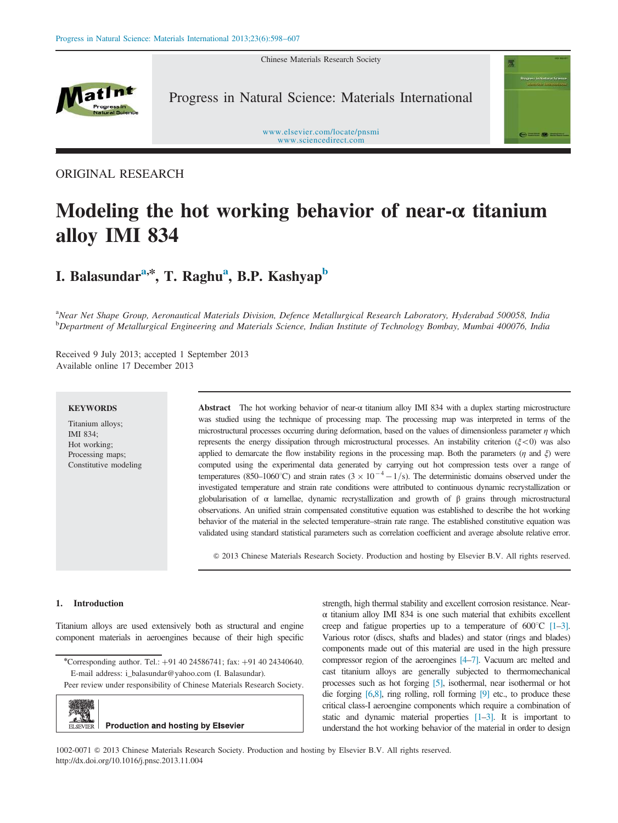Chinese Materials Research Society



Progress in Natural Science: Materials International

www.elsevier.com/locate/pnsmi www.sciencedirect.com

ORIGINAL RESEARCH

# Modeling the hot working behavior of near- $\alpha$  titanium alloy IMI 834

## I. Balasundar<sup>a,\*</sup>, T. Raghu<sup>a</sup>, B.P. Kashyap<sup>b</sup>

<sup>a</sup>Near Net Shape Group, Aeronautical Materials Division, Defence Metallurgical Research Laboratory, Hyderabad 500058, India <sup>b</sup>Department of Metallurgical Engineering and Materials Science, Indian Institute of Technology Bombay, Mumbai 400076, India

Received 9 July 2013; accepted 1 September 2013 Available online 17 December 2013

#### **KEYWORDS**

Titanium alloys; IMI 834; Hot working; Processing maps; Constitutive modeling

Abstract The hot working behavior of near-α titanium alloy IMI 834 with a duplex starting microstructure was studied using the technique of processing map. The processing map was interpreted in terms of the microstructural processes occurring during deformation, based on the values of dimensionless parameter  $\eta$  which represents the energy dissipation through microstructural processes. An instability criterion ( $\xi$ <0) was also applied to demarcate the flow instability regions in the processing map. Both the parameters ( $\eta$  and  $\xi$ ) were computed using the experimental data generated by carrying out hot compression tests over a range of temperatures (850–1060°C) and strain rates ( $3 \times 10^{-4} - 1/s$ ). The deterministic domains observed under the investigated temperature and strain rate conditions were attributed to continuous dynamic recrystallization or globularisation of α lamellae, dynamic recrystallization and growth of β grains through microstructural observations. An unified strain compensated constitutive equation was established to describe the hot working behavior of the material in the selected temperature–strain rate range. The established constitutive equation was validated using standard statistical parameters such as correlation coefficient and average absolute relative error.

& 2013 Chinese Materials Research Society. Production and hosting by Elsevier B.V. All rights reserved.

#### 1. Introduction

Titanium alloys are used extensively both as structural and engine component materials in aeroengines because of their high specific

Peer review under responsibility of Chinese Materials Research Society.



strength, high thermal stability and excellent corrosion resistance. Nearα titanium alloy IMI 834 is one such material that exhibits excellent creep and fatigue properties up to a temperature of  $600^{\circ}$ C [1–3]. Various rotor (discs, shafts and blades) and stator (rings and blades) components made out of this material are used in the high pressure compressor region of the aeroengines [4–7]. Vacuum arc melted and cast titanium alloys are generally subjected to thermomechanical processes such as hot forging [5], isothermal, near isothermal or hot die forging [6,8], ring rolling, roll forming [9] etc., to produce these critical class-I aeroengine components which require a combination of static and dynamic material properties [1–3]. It is important to understand the hot working behavior of the material in order to design

1002-0071 & 2013 Chinese Materials Research Society. Production and hosting by Elsevier B.V. All rights reserved. http://dx.doi.org/10.1016/j.pnsc.2013.11.004

<sup>\*</sup>Corresponding author. Tel.: +91 40 24586741; fax: +91 40 24340640. E-mail address: i\_balasundar@yahoo.com (I. Balasundar).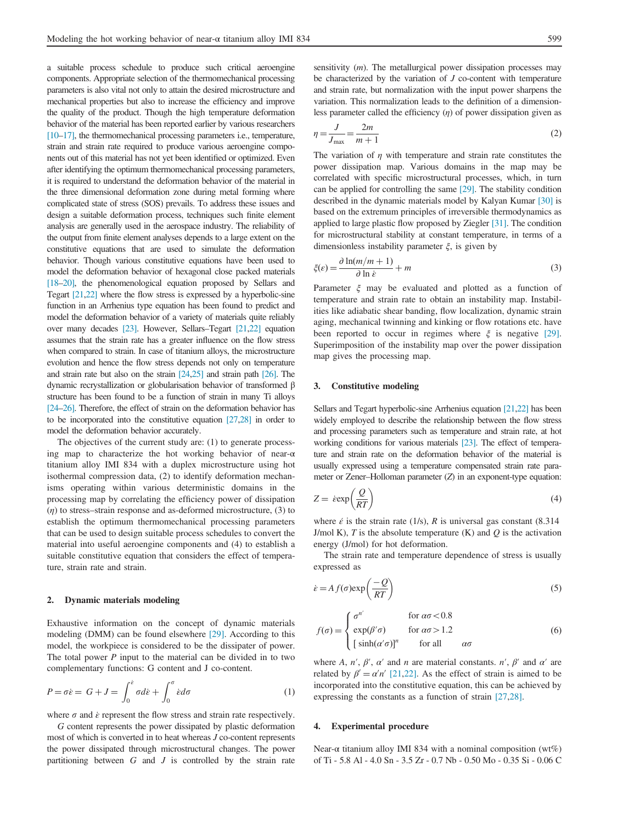a suitable process schedule to produce such critical aeroengine components. Appropriate selection of the thermomechanical processing parameters is also vital not only to attain the desired microstructure and mechanical properties but also to increase the efficiency and improve the quality of the product. Though the high temperature deformation behavior of the material has been reported earlier by various researchers [10–17], the thermomechanical processing parameters i.e., temperature, strain and strain rate required to produce various aeroengine components out of this material has not yet been identified or optimized. Even after identifying the optimum thermomechanical processing parameters, it is required to understand the deformation behavior of the material in the three dimensional deformation zone during metal forming where complicated state of stress (SOS) prevails. To address these issues and design a suitable deformation process, techniques such finite element analysis are generally used in the aerospace industry. The reliability of the output from finite element analyses depends to a large extent on the constitutive equations that are used to simulate the deformation behavior. Though various constitutive equations have been used to model the deformation behavior of hexagonal close packed materials [18–20], the phenomenological equation proposed by Sellars and Tegart [21,22] where the flow stress is expressed by a hyperbolic-sine function in an Arrhenius type equation has been found to predict and model the deformation behavior of a variety of materials quite reliably over many decades [23]. However, Sellars–Tegart [21,22] equation assumes that the strain rate has a greater influence on the flow stress when compared to strain. In case of titanium alloys, the microstructure evolution and hence the flow stress depends not only on temperature and strain rate but also on the strain [24,25] and strain path [26]. The dynamic recrystallization or globularisation behavior of transformed β structure has been found to be a function of strain in many Ti alloys [24–26]. Therefore, the effect of strain on the deformation behavior has to be incorporated into the constitutive equation [27,28] in order to model the deformation behavior accurately.

The objectives of the current study are: (1) to generate processing map to characterize the hot working behavior of near-α titanium alloy IMI 834 with a duplex microstructure using hot isothermal compression data, (2) to identify deformation mechanisms operating within various deterministic domains in the processing map by correlating the efficiency power of dissipation  $(\eta)$  to stress–strain response and as-deformed microstructure, (3) to establish the optimum thermomechanical processing parameters that can be used to design suitable process schedules to convert the material into useful aeroengine components and (4) to establish a suitable constitutive equation that considers the effect of temperature, strain rate and strain.

#### 2. Dynamic materials modeling

Exhaustive information on the concept of dynamic materials modeling (DMM) can be found elsewhere [29]. According to this model, the workpiece is considered to be the dissipater of power. The total power  $P$  input to the material can be divided in to two complementary functions: G content and J co-content.

$$
P = \sigma \dot{\varepsilon} = G + J = \int_0^{\dot{\varepsilon}} \sigma d\dot{\varepsilon} + \int_0^{\sigma} \dot{\varepsilon} d\sigma \tag{1}
$$

where  $\sigma$  and  $\dot{\varepsilon}$  represent the flow stress and strain rate respectively.

G content represents the power dissipated by plastic deformation most of which is converted in to heat whereas J co-content represents the power dissipated through microstructural changes. The power partitioning between  $G$  and  $J$  is controlled by the strain rate sensitivity (*m*). The metallurgical power dissipation processes may be characterized by the variation of  $J$  co-content with temperature and strain rate, but normalization with the input power sharpens the variation. This normalization leads to the definition of a dimensionless parameter called the efficiency  $(n)$  of power dissipation given as

$$
\eta = \frac{J}{J_{\text{max}}} = \frac{2m}{m+1} \tag{2}
$$

The variation of  $\eta$  with temperature and strain rate constitutes the power dissipation map. Various domains in the map may be correlated with specific microstructural processes, which, in turn can be applied for controlling the same [29]. The stability condition described in the dynamic materials model by Kalyan Kumar [30] is based on the extremum principles of irreversible thermodynamics as applied to large plastic flow proposed by Ziegler [31]. The condition for microstructural stability at constant temperature, in terms of a dimensionless instability parameter  $\xi$ , is given by

$$
\xi(\varepsilon) = \frac{\partial \ln(m/m + 1)}{\partial \ln \varepsilon} + m \tag{3}
$$

Parameter ξ may be evaluated and plotted as a function of temperature and strain rate to obtain an instability map. Instabilities like adiabatic shear banding, flow localization, dynamic strain aging, mechanical twinning and kinking or flow rotations etc. have been reported to occur in regimes where  $\xi$  is negative [29]. Superimposition of the instability map over the power dissipation map gives the processing map.

#### 3. Constitutive modeling

Sellars and Tegart hyperbolic-sine Arrhenius equation [21,22] has been widely employed to describe the relationship between the flow stress and processing parameters such as temperature and strain rate, at hot working conditions for various materials [23]. The effect of temperature and strain rate on the deformation behavior of the material is usually expressed using a temperature compensated strain rate parameter or Zener–Holloman parameter (Z) in an exponent-type equation:

$$
Z = \operatorname{sexp}\left(\frac{Q}{RT}\right) \tag{4}
$$

where  $\acute{\epsilon}$  is the strain rate (1/s), R is universal gas constant (8.314) J/mol K), T is the absolute temperature  $(K)$  and O is the activation energy (J/mol) for hot deformation.

The strain rate and temperature dependence of stress is usually expressed as

$$
\dot{\varepsilon} = A f(\sigma) \exp\left(\frac{-Q}{RT}\right) \tag{5}
$$

$$
f(\sigma) = \begin{cases} \sigma^{n'} & \text{for } \alpha \sigma < 0.8\\ \exp(\beta' \sigma) & \text{for } \alpha \sigma > 1.2\\ \left[\sinh(\alpha' \sigma)\right]^{n} & \text{for all } \alpha \sigma \end{cases}
$$
(6)

where A, n',  $\beta'$ ,  $\alpha'$  and n are material constants. n',  $\beta'$  and  $\alpha'$  are related by  $\beta' = \alpha' n'$  [21,22]. As the effect of strain is aimed to be incorporated into the constitutive equation, this can be achieved by expressing the constants as a function of strain [27,28].

#### 4. Experimental procedure

Near- $\alpha$  titanium alloy IMI 834 with a nominal composition (wt%) of Ti - 5.8 Al - 4.0 Sn - 3.5 Zr - 0.7 Nb - 0.50 Mo - 0.35 Si - 0.06 C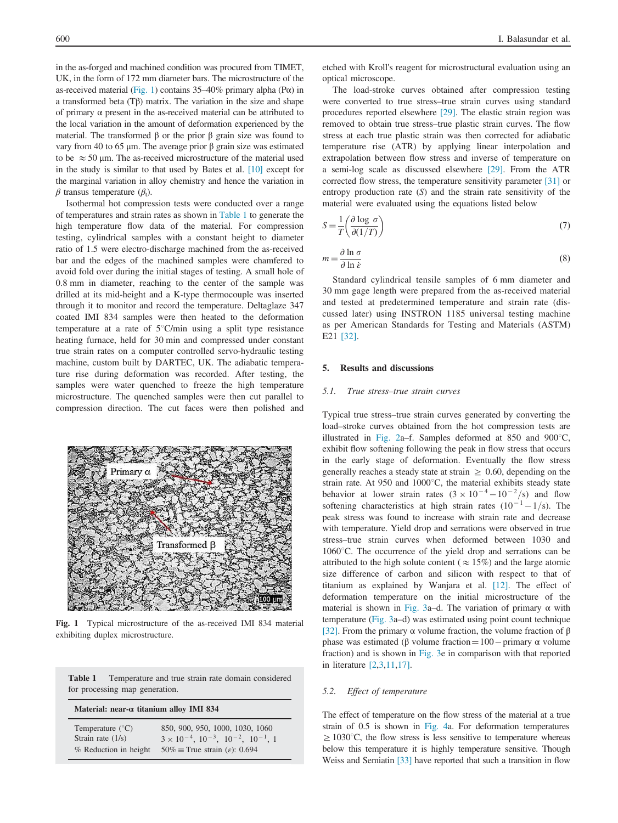in the as-forged and machined condition was procured from TIMET, UK, in the form of 172 mm diameter bars. The microstructure of the as-received material (Fig. 1) contains  $35-40\%$  primary alpha (P $\alpha$ ) in a transformed beta (Tβ) matrix. The variation in the size and shape of primary  $\alpha$  present in the as-received material can be attributed to the local variation in the amount of deformation experienced by the material. The transformed β or the prior β grain size was found to vary from 40 to 65 μm. The average prior β grain size was estimated to be  $\approx$  50 µm. The as-received microstructure of the material used in the study is similar to that used by Bates et al. [10] except for the marginal variation in alloy chemistry and hence the variation in  $\beta$  transus temperature  $(\beta_t)$ .

Isothermal hot compression tests were conducted over a range of temperatures and strain rates as shown in Table 1 to generate the high temperature flow data of the material. For compression testing, cylindrical samples with a constant height to diameter ratio of 1.5 were electro-discharge machined from the as-received bar and the edges of the machined samples were chamfered to avoid fold over during the initial stages of testing. A small hole of 0.8 mm in diameter, reaching to the center of the sample was drilled at its mid-height and a K-type thermocouple was inserted through it to monitor and record the temperature. Deltaglaze 347 coated IMI 834 samples were then heated to the deformation temperature at a rate of  $5^{\circ}$ C/min using a split type resistance heating furnace, held for 30 min and compressed under constant true strain rates on a computer controlled servo-hydraulic testing machine, custom built by DARTEC, UK. The adiabatic temperature rise during deformation was recorded. After testing, the samples were water quenched to freeze the high temperature microstructure. The quenched samples were then cut parallel to compression direction. The cut faces were then polished and



Fig. 1 Typical microstructure of the as-received IMI 834 material exhibiting duplex microstructure.

| Table 1 | Temperature and true strain rate domain considered |
|---------|----------------------------------------------------|
|         | for processing map generation.                     |

### Material: near-α titanium alloy IMI 834  $950, 900, 950, 1000, 1030, 1000$

| Temperature $(C)$     | 850, 900, 950, 1000, 1030, 1060                            |
|-----------------------|------------------------------------------------------------|
| Strain rate $(1/s)$   | $3 \times 10^{-4}$ , $10^{-3}$ , $10^{-2}$ , $10^{-1}$ , 1 |
| % Reduction in height | $50\% \equiv$ True strain ( $\varepsilon$ ): 0.694         |

etched with Kroll's reagent for microstructural evaluation using an optical microscope.

The load-stroke curves obtained after compression testing were converted to true stress–true strain curves using standard procedures reported elsewhere [29]. The elastic strain region was removed to obtain true stress–true plastic strain curves. The flow stress at each true plastic strain was then corrected for adiabatic temperature rise (ATR) by applying linear interpolation and extrapolation between flow stress and inverse of temperature on a semi-log scale as discussed elsewhere [29]. From the ATR corrected flow stress, the temperature sensitivity parameter [31] or entropy production rate  $(S)$  and the strain rate sensitivity of the material were evaluated using the equations listed below

$$
S = \frac{1}{T} \left( \frac{\partial \log \sigma}{\partial (1/T)} \right) \tag{7}
$$

$$
m = \frac{\partial \ln \sigma}{\partial \ln \dot{\epsilon}}\tag{8}
$$

Standard cylindrical tensile samples of 6 mm diameter and 30 mm gage length were prepared from the as-received material and tested at predetermined temperature and strain rate (discussed later) using INSTRON 1185 universal testing machine as per American Standards for Testing and Materials (ASTM) E21 [32].

#### 5. Results and discussions

#### 5.1. True stress–true strain curves

Typical true stress–true strain curves generated by converting the load–stroke curves obtained from the hot compression tests are illustrated in Fig. 2a–f. Samples deformed at 850 and 900 $^{\circ}$ C, exhibit flow softening following the peak in flow stress that occurs in the early stage of deformation. Eventually the flow stress generally reaches a steady state at strain  $\geq 0.60$ , depending on the strain rate. At 950 and  $1000^{\circ}$ C, the material exhibits steady state behavior at lower strain rates  $(3 \times 10^{-4} - 10^{-2}/s)$  and flow softening characteristics at high strain rates  $(10^{-1} - 1/s)$ . The peak stress was found to increase with strain rate and decrease with temperature. Yield drop and serrations were observed in true stress–true strain curves when deformed between 1030 and  $1060^{\circ}$ C. The occurrence of the yield drop and serrations can be attributed to the high solute content ( $\approx 15\%$ ) and the large atomic size difference of carbon and silicon with respect to that of titanium as explained by Wanjara et al. [12]. The effect of deformation temperature on the initial microstructure of the material is shown in Fig. 3a–d. The variation of primary  $\alpha$  with temperature (Fig. 3a–d) was estimated using point count technique [32]. From the primary α volume fraction, the volume fraction of β phase was estimated (β volume fraction =  $100$  – primary α volume fraction) and is shown in Fig. 3e in comparison with that reported in literature [2,3,11,17].

#### 5.2. Effect of temperature

The effect of temperature on the flow stress of the material at a true strain of 0.5 is shown in Fig. 4a. For deformation temperatures  $\geq 1030^{\circ}$ C, the flow stress is less sensitive to temperature whereas below this temperature it is highly temperature sensitive. Though Weiss and Semiatin [33] have reported that such a transition in flow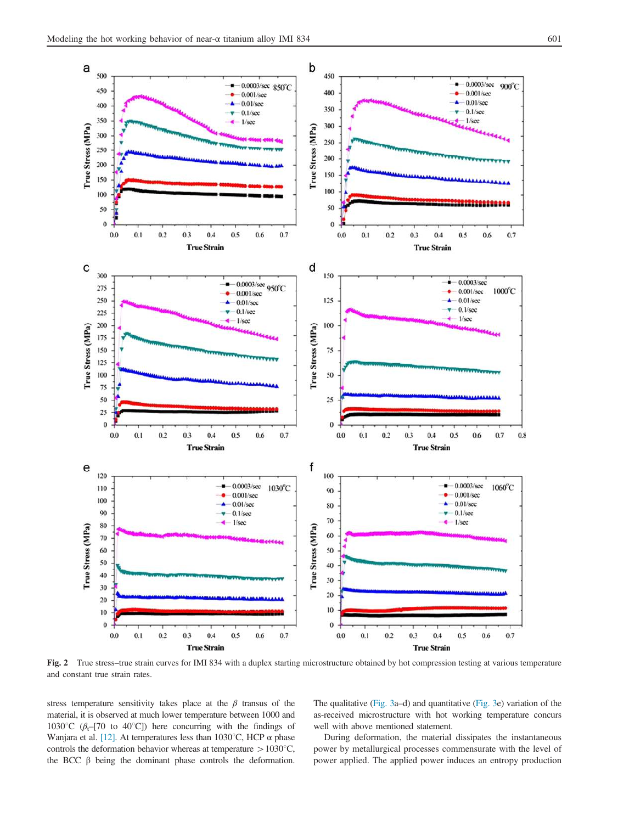

Fig. 2 True stress–true strain curves for IMI 834 with a duplex starting microstructure obtained by hot compression testing at various temperature and constant true strain rates.

stress temperature sensitivity takes place at the  $\beta$  transus of the material, it is observed at much lower temperature between 1000 and 1030<sup>°</sup>C ( $\beta$ <sub>t</sub>–[70 to 40<sup>°</sup>C]) here concurring with the findings of Wanjara et al. [12]. At temperatures less than 1030<sup>o</sup>C, HCP  $\alpha$  phase controls the deformation behavior whereas at temperature  $> 1030^{\circ}C$ , the BCC β being the dominant phase controls the deformation. The qualitative (Fig. 3a–d) and quantitative (Fig. 3e) variation of the as-received microstructure with hot working temperature concurs well with above mentioned statement.

During deformation, the material dissipates the instantaneous power by metallurgical processes commensurate with the level of power applied. The applied power induces an entropy production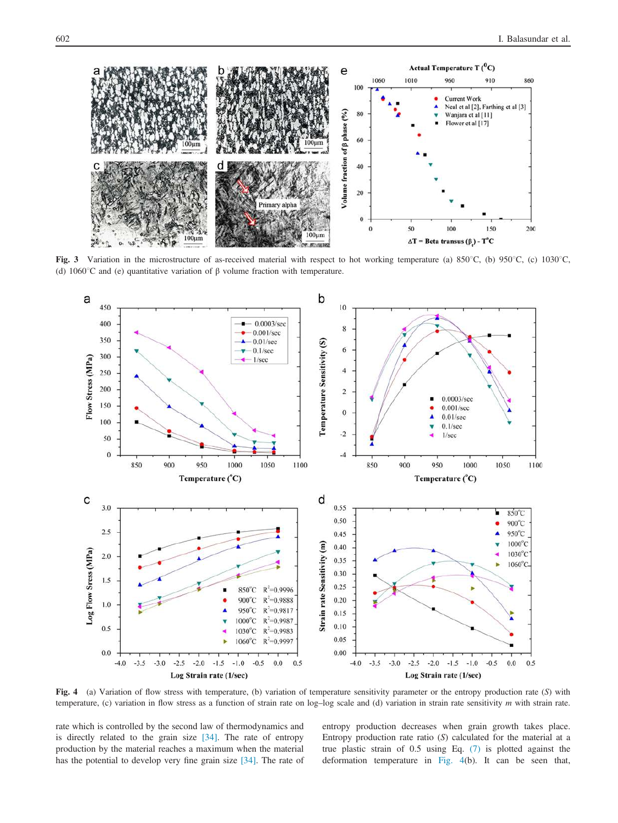

Fig. 3 Variation in the microstructure of as-received material with respect to hot working temperature (a)  $850^{\circ}$ C, (b)  $950^{\circ}$ C, (c)  $1030^{\circ}$ C, (d) 1060 $^{\circ}$ C and (e) quantitative variation of  $\beta$  volume fraction with temperature.



Fig. 4 (a) Variation of flow stress with temperature, (b) variation of temperature sensitivity parameter or the entropy production rate (S) with temperature, (c) variation in flow stress as a function of strain rate on log–log scale and (d) variation in strain rate sensitivity m with strain rate.

rate which is controlled by the second law of thermodynamics and is directly related to the grain size [34]. The rate of entropy production by the material reaches a maximum when the material has the potential to develop very fine grain size [34]. The rate of entropy production decreases when grain growth takes place. Entropy production rate ratio  $(S)$  calculated for the material at a true plastic strain of 0.5 using Eq. (7) is plotted against the deformation temperature in Fig. 4(b). It can be seen that,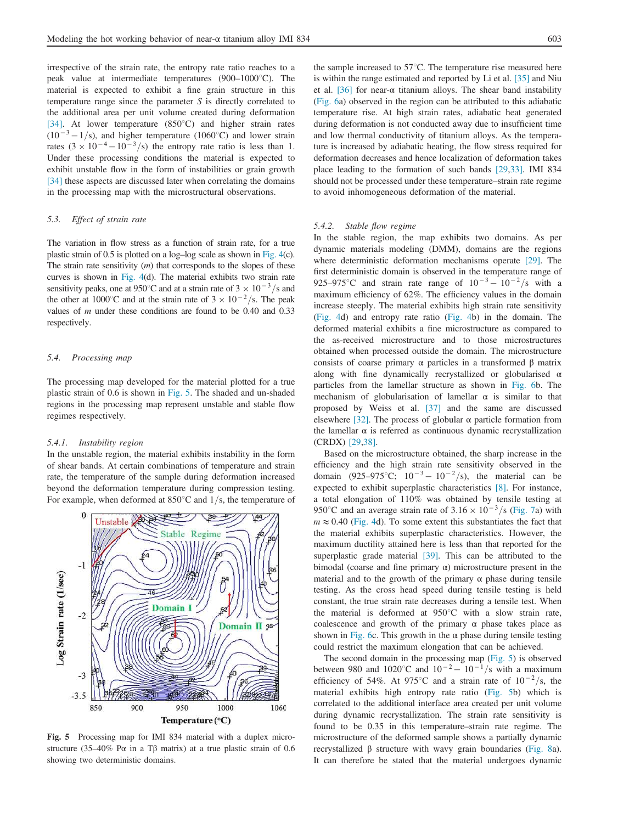irrespective of the strain rate, the entropy rate ratio reaches to a peak value at intermediate temperatures  $(900-1000^{\circ}C)$ . The material is expected to exhibit a fine grain structure in this temperature range since the parameter S is directly correlated to the additional area per unit volume created during deformation [34]. At lower temperature  $(850^{\circ}C)$  and higher strain rates  $(10^{-3} - 1/s)$ , and higher temperature (1060<sup>o</sup>C) and lower strain rates  $(3 \times 10^{-4} - 10^{-3}/s)$  the entropy rate ratio is less than 1. Under these processing conditions the material is expected to exhibit unstable flow in the form of instabilities or grain growth [34] these aspects are discussed later when correlating the domains in the processing map with the microstructural observations.

#### 5.3. Effect of strain rate

The variation in flow stress as a function of strain rate, for a true plastic strain of 0.5 is plotted on a log–log scale as shown in Fig. 4(c). The strain rate sensitivity  $(m)$  that corresponds to the slopes of these curves is shown in Fig. 4(d). The material exhibits two strain rate sensitivity peaks, one at 950°C and at a strain rate of  $3 \times 10^{-3}$ /s and the other at 1000°C and at the strain rate of  $3 \times 10^{-2}$ /s. The peak values of  $m$  under these conditions are found to be 0.40 and 0.33 respectively.

#### 5.4. Processing map

The processing map developed for the material plotted for a true plastic strain of 0.6 is shown in Fig. 5. The shaded and un-shaded regions in the processing map represent unstable and stable flow regimes respectively.

#### 5.4.1. Instability region

In the unstable region, the material exhibits instability in the form of shear bands. At certain combinations of temperature and strain rate, the temperature of the sample during deformation increased beyond the deformation temperature during compression testing. For example, when deformed at  $850^{\circ}$ C and  $1/s$ , the temperature of



Fig. 5 Processing map for IMI 834 material with a duplex microstructure (35–40% P $\alpha$  in a T $\beta$  matrix) at a true plastic strain of 0.6 showing two deterministic domains.

the sample increased to  $57^{\circ}$ C. The temperature rise measured here is within the range estimated and reported by Li et al. [35] and Niu et al. [36] for near- $\alpha$  titanium alloys. The shear band instability (Fig. 6a) observed in the region can be attributed to this adiabatic temperature rise. At high strain rates, adiabatic heat generated during deformation is not conducted away due to insufficient time and low thermal conductivity of titanium alloys. As the temperature is increased by adiabatic heating, the flow stress required for deformation decreases and hence localization of deformation takes place leading to the formation of such bands [29,33]. IMI 834 should not be processed under these temperature–strain rate regime to avoid inhomogeneous deformation of the material.

#### 5.4.2. Stable flow regime

In the stable region, the map exhibits two domains. As per dynamic materials modeling (DMM), domains are the regions where deterministic deformation mechanisms operate [29]. The first deterministic domain is observed in the temperature range of 925–975°C and strain rate range of  $10^{-3} - 10^{-2}/s$  with a maximum efficiency of 62%. The efficiency values in the domain increase steeply. The material exhibits high strain rate sensitivity (Fig. 4d) and entropy rate ratio (Fig. 4b) in the domain. The deformed material exhibits a fine microstructure as compared to the as-received microstructure and to those microstructures obtained when processed outside the domain. The microstructure consists of coarse primary α particles in a transformed β matrix along with fine dynamically recrystallized or globularised  $\alpha$ particles from the lamellar structure as shown in Fig. 6b. The mechanism of globularisation of lamellar  $\alpha$  is similar to that proposed by Weiss et al. [37] and the same are discussed elsewhere [32]. The process of globular  $\alpha$  particle formation from the lamellar  $\alpha$  is referred as continuous dynamic recrystallization (CRDX) [29,38].

Based on the microstructure obtained, the sharp increase in the efficiency and the high strain rate sensitivity observed in the domain (925–975°C;  $10^{-3} - 10^{-2}$ /s), the material can be expected to exhibit superplastic characteristics [8]. For instance, a total elongation of 110% was obtained by tensile testing at 950°C and an average strain rate of  $3.16 \times 10^{-3}$ /s (Fig. 7a) with  $m \approx 0.40$  (Fig. 4d). To some extent this substantiates the fact that the material exhibits superplastic characteristics. However, the maximum ductility attained here is less than that reported for the superplastic grade material [39]. This can be attributed to the bimodal (coarse and fine primary α) microstructure present in the material and to the growth of the primary  $\alpha$  phase during tensile testing. As the cross head speed during tensile testing is held constant, the true strain rate decreases during a tensile test. When the material is deformed at  $950^{\circ}$ C with a slow strain rate, coalescence and growth of the primary  $\alpha$  phase takes place as shown in Fig. 6c. This growth in the  $\alpha$  phase during tensile testing could restrict the maximum elongation that can be achieved.

The second domain in the processing map (Fig. 5) is observed between 980 and 1020°C and  $10^{-2} - 10^{-1}$ /s with a maximum efficiency of 54%. At 975°C and a strain rate of  $10^{-2}/s$ , the material exhibits high entropy rate ratio (Fig. 5b) which is correlated to the additional interface area created per unit volume during dynamic recrystallization. The strain rate sensitivity is found to be 0.35 in this temperature–strain rate regime. The microstructure of the deformed sample shows a partially dynamic recrystallized β structure with wavy grain boundaries (Fig. 8a). It can therefore be stated that the material undergoes dynamic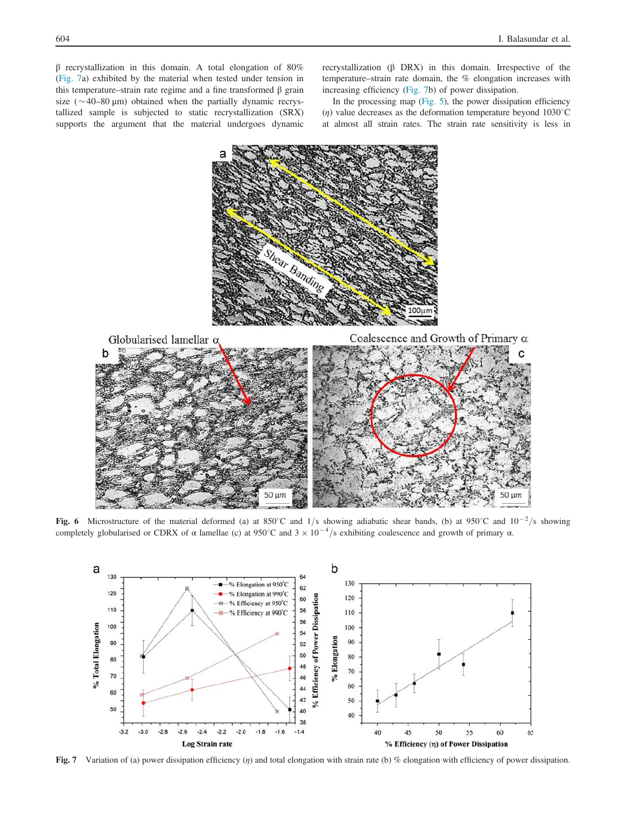β recrystallization in this domain. A total elongation of 80% (Fig. 7a) exhibited by the material when tested under tension in this temperature–strain rate regime and a fine transformed β grain size ( $\sim$ 40–80 µm) obtained when the partially dynamic recrystallized sample is subjected to static recrystallization (SRX) supports the argument that the material undergoes dynamic recrystallization (β DRX) in this domain. Irrespective of the temperature–strain rate domain, the % elongation increases with increasing efficiency (Fig. 7b) of power dissipation.

In the processing map (Fig. 5), the power dissipation efficiency (*n*) value decreases as the deformation temperature beyond  $1030^{\circ}$ C at almost all strain rates. The strain rate sensitivity is less in



Fig. 6 Microstructure of the material deformed (a) at 850°C and 1/s showing adiabatic shear bands, (b) at 950°C and  $10^{-2}/s$  showing completely globularised or CDRX of  $\alpha$  lamellae (c) at 950°C and  $3 \times 10^{-4}$ /s exhibiting coalescence and growth of primary  $\alpha$ .



Fig. 7 Variation of (a) power dissipation efficiency (η) and total elongation with strain rate (b) % elongation with efficiency of power dissipation.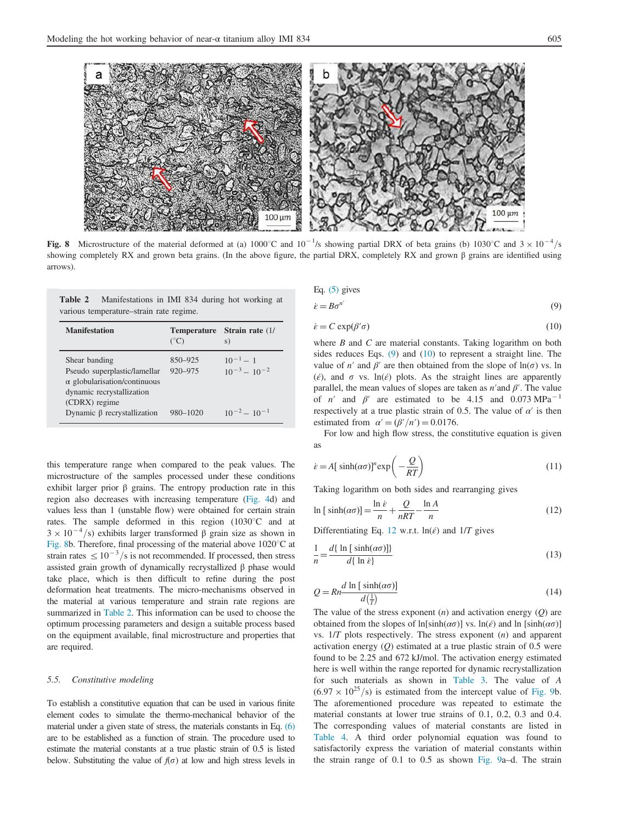

Fig. 8 Microstructure of the material deformed at (a) 1000°C and  $10^{-1/s}$  showing partial DRX of beta grains (b) 1030°C and  $3 \times 10^{-4/s}$ showing completely RX and grown beta grains. (In the above figure, the partial DRX, completely RX and grown β grains are identified using arrows).

|  | <b>Table 2</b> Manifestations in IMI 834 during hot working at |  |  |  |  |
|--|----------------------------------------------------------------|--|--|--|--|
|  | various temperature–strain rate regime.                        |  |  |  |  |

| <b>Manifestation</b>                                                                                                               | <b>Temperature</b><br>$(^{\circ}C)$ | Strain rate (1/<br>S)                |
|------------------------------------------------------------------------------------------------------------------------------------|-------------------------------------|--------------------------------------|
| Shear banding<br>Pseudo superplastic/lamellar<br>$\alpha$ globularisation/continuous<br>dynamic recrystallization<br>(CDRX) regime | 850-925<br>$920 - 975$              | $10^{-1} - 1$<br>$10^{-3} - 10^{-2}$ |
| Dynamic $\beta$ recrystallization                                                                                                  | 980-1020                            | $10^{-2} - 10^{-1}$                  |

this temperature range when compared to the peak values. The microstructure of the samples processed under these conditions exhibit larger prior  $\beta$  grains. The entropy production rate in this region also decreases with increasing temperature (Fig. 4d) and values less than 1 (unstable flow) were obtained for certain strain rates. The sample deformed in this region  $(1030^{\circ}C)$  and at  $3 \times 10^{-4}$ /s) exhibits larger transformed  $\beta$  grain size as shown in Fig. 8b. Therefore, final processing of the material above  $1020^{\circ}$ C at strain rates  $\leq 10^{-3}$ /s is not recommended. If processed, then stress assisted grain growth of dynamically recrystallized β phase would take place, which is then difficult to refine during the post deformation heat treatments. The micro-mechanisms observed in the material at various temperature and strain rate regions are summarized in Table 2. This information can be used to choose the optimum processing parameters and design a suitable process based on the equipment available, final microstructure and properties that are required.

#### 5.5. Constitutive modeling

To establish a constitutive equation that can be used in various finite element codes to simulate the thermo-mechanical behavior of the material under a given state of stress, the materials constants in Eq. (6) are to be established as a function of strain. The procedure used to estimate the material constants at a true plastic strain of 0.5 is listed below. Substituting the value of  $f(\sigma)$  at low and high stress levels in

Eq. (5) gives  
\n
$$
\dot{\varepsilon} = B\sigma^{n'} \tag{9}
$$

$$
\mathcal{N}^{\mathcal{A}}\mathcal{N}^{\mathcal{A}}
$$

$$
\dot{\varepsilon} = C \exp(\beta'\sigma) \tag{10}
$$

where  $B$  and  $C$  are material constants. Taking logarithm on both sides reduces Eqs. (9) and (10) to represent a straight line. The value of n' and  $\beta'$  are then obtained from the slope of  $\ln(\sigma)$  vs. ln ( $\epsilon$ ), and  $\sigma$  vs. ln( $\epsilon$ ) plots. As the straight lines are apparently parallel, the mean values of slopes are taken as  $n'$  and  $\beta'$ . The value of *n'* and  $\beta'$  are estimated to be 4.15 and 0.073 MPa<sup>-1</sup> respectively at a true plastic strain of 0.5. The value of  $\alpha'$  is then estimated from  $\alpha' = (\beta'/n') = 0.0176$ .

For low and high flow stress, the constitutive equation is given as

$$
\dot{\varepsilon} = A[\sinh(\alpha \sigma)]^n \exp\left(-\frac{Q}{RT}\right) \tag{11}
$$

Taking logarithm on both sides and rearranging gives

$$
\ln\left[\sinh(\alpha\sigma)\right] = \frac{\ln\dot{\varepsilon}}{n} + \frac{Q}{nRT} - \frac{\ln A}{n}
$$
\n(12)

Differentiating Eq. 12 w.r.t.  $ln(\acute{\epsilon})$  and  $1/T$  gives

$$
\frac{1}{n} = \frac{d\{\ln[\sinh(\alpha\sigma)]\}}{d\{\ln \dot{\epsilon}\}}
$$
\n(13)

$$
Q = Rn \frac{d \ln [\sinh(\alpha \sigma)]}{d(\frac{1}{T})}
$$
\n(14)

The value of the stress exponent  $(n)$  and activation energy  $(Q)$  are obtained from the slopes of ln[sinh( $\alpha\sigma$ )] vs. ln( $\epsilon$ ) and ln [sinh( $\alpha\sigma$ )] vs.  $1/T$  plots respectively. The stress exponent  $(n)$  and apparent activation energy  $(Q)$  estimated at a true plastic strain of 0.5 were found to be 2.25 and 672 kJ/mol. The activation energy estimated here is well within the range reported for dynamic recrystallization for such materials as shown in Table 3. The value of A  $(6.97 \times 10^{25}/s)$  is estimated from the intercept value of Fig. 9b. The aforementioned procedure was repeated to estimate the material constants at lower true strains of 0.1, 0.2, 0.3 and 0.4. The corresponding values of material constants are listed in Table 4. A third order polynomial equation was found to satisfactorily express the variation of material constants within the strain range of 0.1 to 0.5 as shown Fig. 9a–d. The strain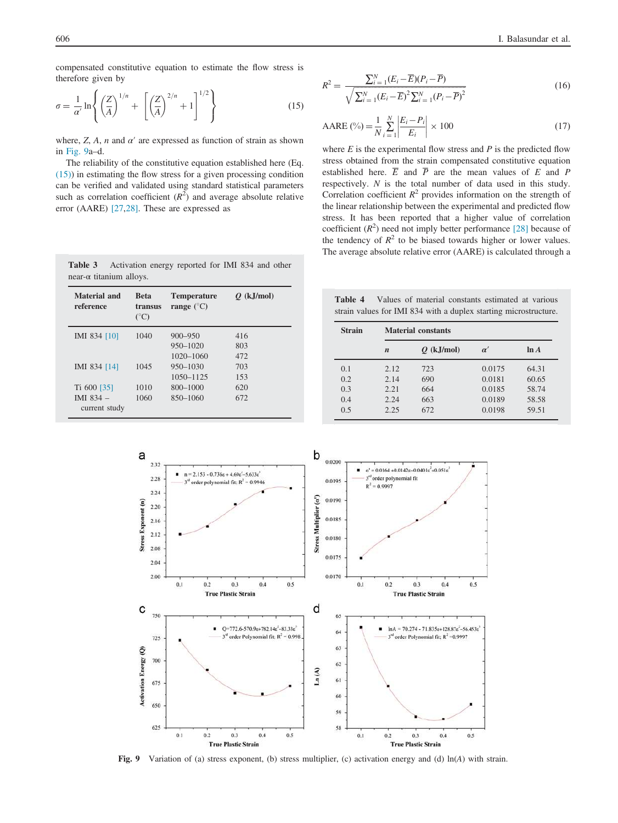compensated constitutive equation to estimate the flow stress is therefore given by

$$
\sigma = \frac{1}{\alpha'} \ln \left\{ \left( \frac{Z}{A} \right)^{1/n} + \left[ \left( \frac{Z}{A} \right)^{2/n} + 1 \right]^{1/2} \right\}
$$
(15)

where,  $Z$ ,  $A$ ,  $n$  and  $\alpha'$  are expressed as function of strain as shown in Fig. 9a–d.

The reliability of the constitutive equation established here (Eq. (15)) in estimating the flow stress for a given processing condition can be verified and validated using standard statistical parameters such as correlation coefficient  $(R^2)$  and average absolute relative error (AARE) [27,28]. These are expressed as

Table 3 Activation energy reported for IMI 834 and other

Temperature  $\sqrt{a}$ 

near-α titanium alloys.

Beta

Material and

$$
R^{2} = \frac{\sum_{i=1}^{N} (E_{i} - \overline{E})(P_{i} - \overline{P})}{\sqrt{\sum_{i=1}^{N} (E_{i} - \overline{E})^{2} \sum_{i=1}^{N} (P_{i} - \overline{P})^{2}}}
$$
(16)

$$
AARE\left(\frac{0}{0}\right) = \frac{1}{N} \sum_{i=1}^{N} \left| \frac{E_i - P_i}{E_i} \right| \times 100
$$
 (17)

where  $E$  is the experimental flow stress and  $P$  is the predicted flow stress obtained from the strain compensated constitutive equation established here.  $\overline{E}$  and  $\overline{P}$  are the mean values of E and P respectively. N is the total number of data used in this study. Correlation coefficient  $R^2$  provides information on the strength of the linear relationship between the experimental and predicted flow stress. It has been reported that a higher value of correlation coefficient  $(R^2)$  need not imply better performance [28] because of the tendency of  $R^2$  to be biased towards higher or lower values. The average absolute relative error (AARE) is calculated through a

Table 4 Values of material constants estimated at various strain values for IMI 834 with a duplex starting microstructure.

| reference     | transus<br>$(^{\circ}C)$ | range $(^{\circ}C)$ |     |  |
|---------------|--------------------------|---------------------|-----|--|
| IMI 834 [10]  | 1040                     | $900 - 950$         | 416 |  |
|               |                          | 950-1020            | 803 |  |
|               |                          | 1020-1060           | 472 |  |
| IMI 834 [14]  | 1045                     | 950-1030            | 703 |  |
|               |                          | 1050-1125           | 153 |  |
| Ti 600 [35]   | 1010                     | 800-1000            | 620 |  |
| IMI $834 -$   | 1060                     | 850-1060            | 672 |  |
| current study |                          |                     |     |  |

Q (kJ/mol)

Strain Material constants n  $Q$  (kJ/mol)  $\alpha'$  ln A 0.1 2.12 723 0.0175 64.31 0.2 2.14 690 0.0181 60.65<br>0.3 2.21 664 0.0185 58.74 664 0.0185 58.74 0.4 2.24 663 0.0189 58.58 0.5 2.25 672 0.0198 59.51



Fig. 9 Variation of (a) stress exponent, (b) stress multiplier, (c) activation energy and (d) ln(A) with strain.